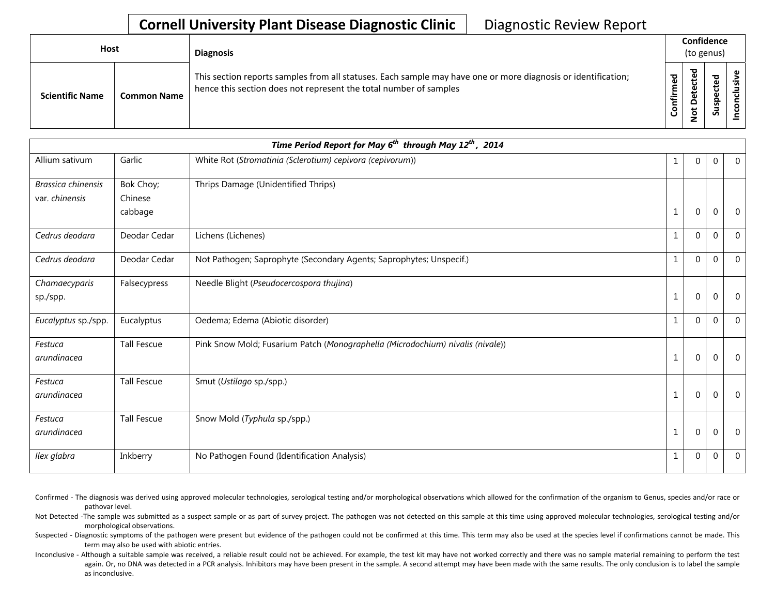## **Cornell University Plant Disease Diagnostic Clinic** | Diagnostic Review Report

| Host |                        |                    | <b>Diagnosis</b>                                                                                                                                                                   |                 |                            | Confidence<br>(to genus) |   |
|------|------------------------|--------------------|------------------------------------------------------------------------------------------------------------------------------------------------------------------------------------|-----------------|----------------------------|--------------------------|---|
|      | <b>Scientific Name</b> | <b>Common Name</b> | This section reports samples from all statuses. Each sample may have one or more diagnosis or identification;<br>hence this section does not represent the total number of samples | ᇴ<br>ε<br>onfir | ठ<br>Φ<br>⊷<br>۵<br>t<br>۰ | ್ಠಾ<br>ဒ္ဓ<br>್ಯ         | ω |

|                                      |                                 | Time Period Report for May 6 <sup>th</sup> through May 12 <sup>th</sup> , 2014 |              |             |             |                |
|--------------------------------------|---------------------------------|--------------------------------------------------------------------------------|--------------|-------------|-------------|----------------|
| Allium sativum                       | Garlic                          | White Rot (Stromatinia (Sclerotium) cepivora (cepivorum))                      | $\mathbf 1$  | 0           | $\mathbf 0$ | $\overline{0}$ |
| Brassica chinensis<br>var. chinensis | Bok Choy;<br>Chinese<br>cabbage | Thrips Damage (Unidentified Thrips)                                            | $\mathbf{1}$ | 0           | $\mathbf 0$ | $\overline{0}$ |
| Cedrus deodara                       | Deodar Cedar                    | Lichens (Lichenes)                                                             | $\mathbf{1}$ | $\Omega$    | $\theta$    | $\Omega$       |
| Cedrus deodara                       | Deodar Cedar                    | Not Pathogen; Saprophyte (Secondary Agents; Saprophytes; Unspecif.)            | $\mathbf{1}$ | $\Omega$    | $\theta$    | $\overline{0}$ |
| Chamaecyparis<br>sp./spp.            | Falsecypress                    | Needle Blight (Pseudocercospora thujina)                                       | 1            | 0           | $\Omega$    | $\overline{0}$ |
| Eucalyptus sp./spp.                  | Eucalyptus                      | Oedema; Edema (Abiotic disorder)                                               | 1            | 0           | $\mathbf 0$ | $\overline{0}$ |
| Festuca<br>arundinacea               | <b>Tall Fescue</b>              | Pink Snow Mold; Fusarium Patch (Monographella (Microdochium) nivalis (nivale)) | $\mathbf{1}$ | 0           | $\Omega$    | $\overline{0}$ |
| Festuca<br>arundinacea               | <b>Tall Fescue</b>              | Smut (Ustilago sp./spp.)                                                       | $\mathbf 1$  | $\mathbf 0$ | $\Omega$    | $\overline{0}$ |
| Festuca<br>arundinacea               | <b>Tall Fescue</b>              | Snow Mold (Typhula sp./spp.)                                                   | $\mathbf{1}$ | $\mathbf 0$ | $\Omega$    | $\overline{0}$ |
| Ilex glabra                          | Inkberry                        | No Pathogen Found (Identification Analysis)                                    | $\mathbf 1$  | 0           | $\mathbf 0$ | $\overline{0}$ |

Confirmed - The diagnosis was derived using approved molecular technologies, serological testing and/or morphological observations which allowed for the confirmation of the organism to Genus, species and/or race or pathovar level.

Not Detected -The sample was submitted as a suspect sample or as part of survey project. The pathogen was not detected on this sample at this time using approved molecular technologies, serological testing and/or morphological observations.

Suspected - Diagnostic symptoms of the pathogen were present but evidence of the pathogen could not be confirmed at this time. This term may also be used at the species level if confirmations cannot be made. This term may also be used with abiotic entries.

Inconclusive - Although a suitable sample was received, a reliable result could not be achieved. For example, the test kit may have not worked correctly and there was no sample material remaining to perform the test again. Or, no DNA was detected in a PCR analysis. Inhibitors may have been present in the sample. A second attempt may have been made with the same results. The only conclusion is to label the sample as inconclusive.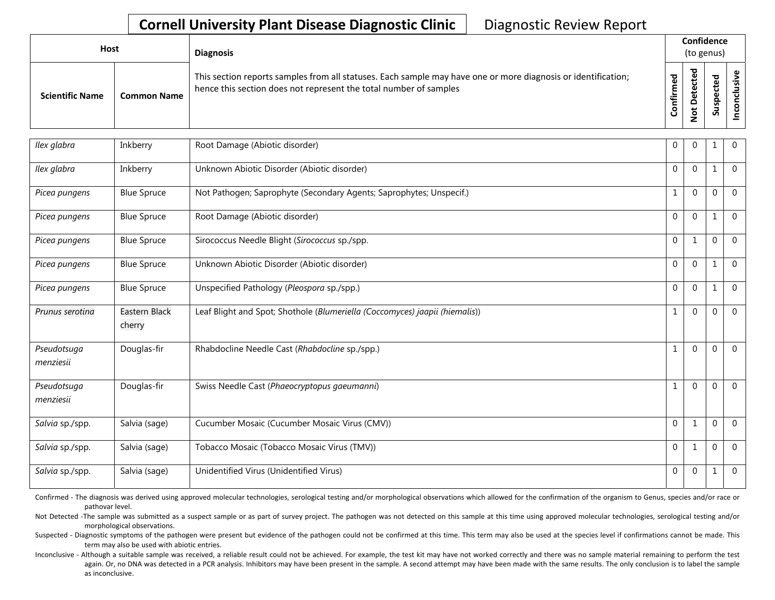## **Cornell University Plant Disease Diagnostic Clinic** | Diagnostic Review Report

| <b>Host</b>            |                    | <b>Diagnosis</b>                                                                                                                                                                   |                         | Confidence<br>(to genus)                                 |                                          |  |
|------------------------|--------------------|------------------------------------------------------------------------------------------------------------------------------------------------------------------------------------|-------------------------|----------------------------------------------------------|------------------------------------------|--|
| <b>Scientific Name</b> | <b>Common Name</b> | This section reports samples from all statuses. Each sample may have one or more diagnosis or identification;<br>hence this section does not represent the total number of samples | ಕ<br>Ē<br>►<br>ii<br>To | ᇃ<br>ق<br>ں<br>Φ<br>پ<br>Φ<br>۵<br>ى<br>$\tilde{S}$<br>c | <b>Da1</b><br>ن<br>ω<br>௨<br>໑<br>◡<br>S |  |

| Ilex glabra              | Inkberry                | Root Damage (Abiotic disorder)                                              | $\mathbf{0}$   | 0            | 1            | $\overline{0}$ |
|--------------------------|-------------------------|-----------------------------------------------------------------------------|----------------|--------------|--------------|----------------|
| Ilex glabra              | Inkberry                | Unknown Abiotic Disorder (Abiotic disorder)                                 | $\Omega$       | $\Omega$     | $\mathbf{1}$ | $\mathbf{0}$   |
| Picea pungens            | <b>Blue Spruce</b>      | Not Pathogen; Saprophyte (Secondary Agents; Saprophytes; Unspecif.)         | $\mathbf{1}$   | $\mathbf 0$  | $\mathbf{0}$ | $\mathbf{0}$   |
| Picea pungens            | <b>Blue Spruce</b>      | Root Damage (Abiotic disorder)                                              | $\Omega$       | $\Omega$     | 1            | $\mathbf{0}$   |
| Picea pungens            | <b>Blue Spruce</b>      | Sirococcus Needle Blight (Sirococcus sp./spp.                               | $\overline{0}$ | 1            | 0            | $\mathbf{0}$   |
| Picea pungens            | <b>Blue Spruce</b>      | Unknown Abiotic Disorder (Abiotic disorder)                                 | $\overline{0}$ | $\Omega$     | 1            | $\Omega$       |
| Picea pungens            | <b>Blue Spruce</b>      | Unspecified Pathology (Pleospora sp./spp.)                                  | $\overline{0}$ | $\mathbf 0$  | 1            | $\Omega$       |
| Prunus serotina          | Eastern Black<br>cherry | Leaf Blight and Spot; Shothole (Blumeriella (Coccomyces) jaapii (hiemalis)) | 1              | $\mathbf 0$  | 0            | $\overline{0}$ |
| Pseudotsuga<br>menziesii | Douglas-fir             | Rhabdocline Needle Cast (Rhabdocline sp./spp.)                              | 1              | $\mathbf{0}$ | 0            | $\overline{0}$ |
| Pseudotsuga<br>menziesii | Douglas-fir             | Swiss Needle Cast (Phaeocryptopus gaeumanni)                                | $\mathbf{1}$   | $\Omega$     | $\mathbf 0$  | $\Omega$       |
| Salvia sp./spp.          | Salvia (sage)           | Cucumber Mosaic (Cucumber Mosaic Virus (CMV))                               | $\mathbf 0$    | $\mathbf{1}$ | $\mathbf 0$  | $\mathbf 0$    |
| Salvia sp./spp.          | Salvia (sage)           | Tobacco Mosaic (Tobacco Mosaic Virus (TMV))                                 | $\mathbf 0$    | $\mathbf{1}$ | $\Omega$     | $\Omega$       |
| Salvia sp./spp.          | Salvia (sage)           | Unidentified Virus (Unidentified Virus)                                     | $\mathbf{0}$   | $\mathbf 0$  | 1            | $\overline{0}$ |

Confirmed - The diagnosis was derived using approved molecular technologies, serological testing and/or morphological observations which allowed for the confirmation of the organism to Genus, species and/or race or pathovar level.

Not Detected -The sample was submitted as a suspect sample or as part of survey project. The pathogen was not detected on this sample at this time using approved molecular technologies, serological testing and/or morphological observations.

Suspected - Diagnostic symptoms of the pathogen were present but evidence of the pathogen could not be confirmed at this time. This term may also be used at the species level if confirmations cannot be made. This term may also be used with abiotic entries.

Inconclusive - Although a suitable sample was received, a reliable result could not be achieved. For example, the test kit may have not worked correctly and there was no sample material remaining to perform the test again. Or, no DNA was detected in a PCR analysis. Inhibitors may have been present in the sample. A second attempt may have been made with the same results. The only conclusion is to label the sample as inconclusive.